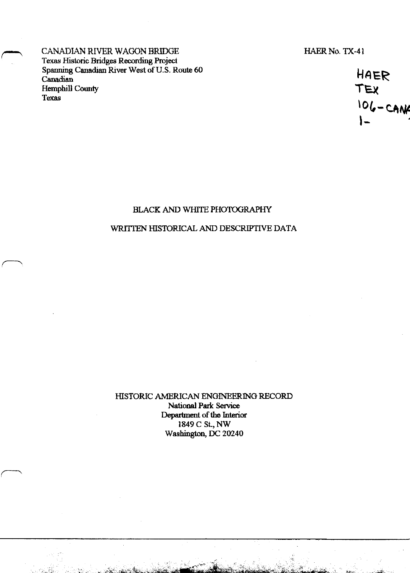CANADIAN RIVER WAGON BRIDGE Texas Historic Bridges Recording Project Spanning Canadian River West of U.S. Route 60 Canadian **Hemphill County** Texas

HAER No. TX-41

HAER<br>TEX<br>106-CANK

## BLACK AND WHITE PHOTOGRAPHY

### WRITTEN HISTORICAL AND DESCRIPTIVE DATA

HISTORIC AMERICAN ENGINEERING RECORD National Park Service Department of the Interior 1849 C St., NW Washington, DC 20240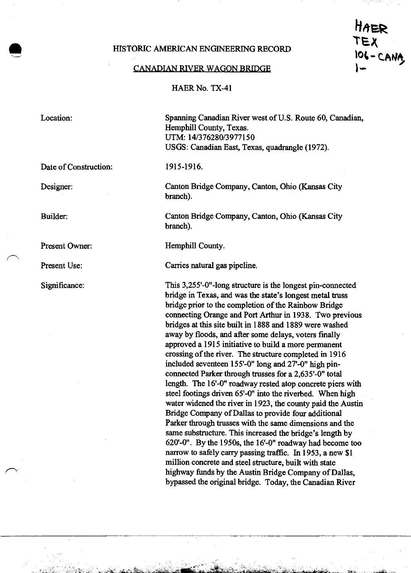### HISTORIC AMERICAN ENGINEERING RECORD

#### CANADIAN RIVER WAGON BRIDGE

HAER No. TX-41

Location:

Date of Construction:

Designer:

Builder:

Present Owner:

Present Use:

Significance:

Spanning Canadian River west of U.S. Route 60, Canadian, Hemphill County, Texas. UTM: 14/376280/3977150 USGS: Canadian East, Texas, quadrangle (1972).

TEX<br>106-CANA

#### 1915-1916.

Canton Bridge Company, Canton, Ohio (Kansas City branch).

Canton Bridge Company, Canton, Ohio (Kansas City branch).

Hemphill County.

Carries natural gas pipeline.

This 3,255'-0"-long structure is the longest pin-connected bridge in Texas, and was the state's longest metal truss bridge prior to the completion of the Rainbow Bridge connecting Orange and Port Arthur in 1938. Two previous bridges at this site built in 1888 and 1889 were washed away by floods, and after some delays, voters finally approved a 1915 initiative to build a more permanent crossing of the river. The structure completed in 1916 included seventeen 155'-0" long and 27-0" high pinconnected Parker through trusses for a 2,635'-0" total length. The 16'-0" roadway rested atop concrete piers with steel footings driven 65'-0" into the riverbed. When high water widened the river in 1923, the county paid the Austin Bridge Company of Dallas to provide four additional Parker through trusses with the same dimensions and the same substructure. This increased the bridge's length by 620'-0". By the 1950s, the 16'-0" roadway had become too narrow to safely carry passing traffic. In 1953, a new \$1 million concrete and steel structure, built with state highway funds by the Austin Bridge Company of Dallas, bypassed the original bridge. Today, the Canadian River